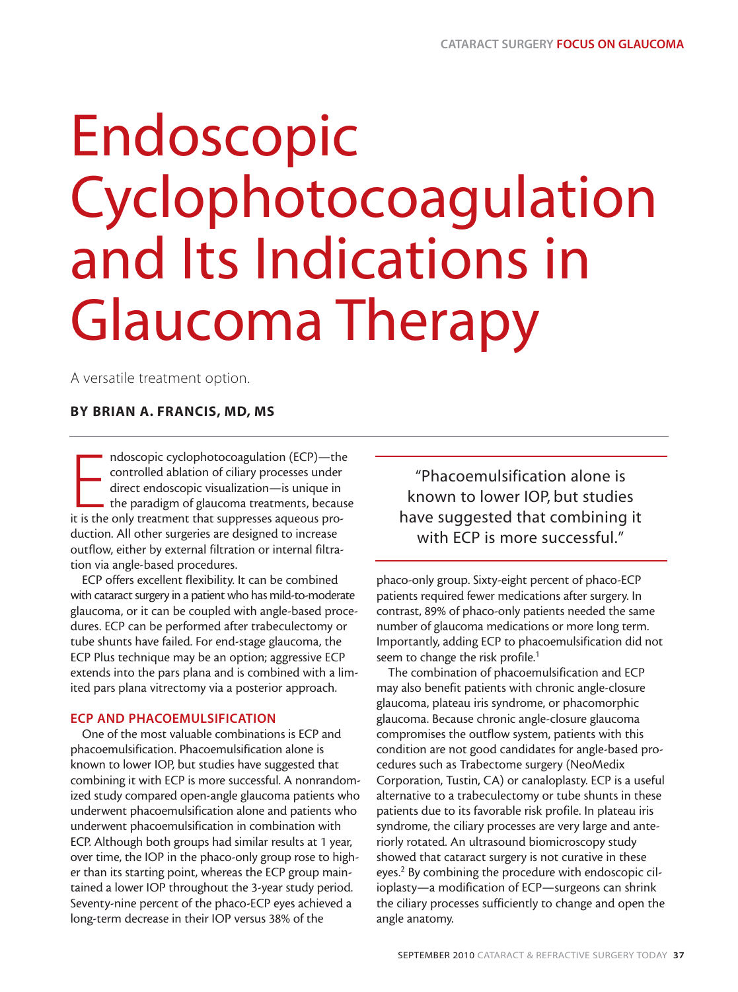# Endoscopic Cyclophotocoagulation and Its Indications in Glaucoma Therapy

A versatile treatment option.

# **BY BRIAN A. FRANCIS, MD, MS**

mdoscopic cyclophotocoagulation (ECP)—the<br>controlled ablation of ciliary processes under<br>direct endoscopic visualization—is unique in<br>the paradigm of glaucoma treatments, becau<br>it is the only treatment that suppresses aque ndoscopic cyclophotocoagulation (ECP)—the controlled ablation of ciliary processes under direct endoscopic visualization—is unique in the paradigm of glaucoma treatments, because duction. All other surgeries are designed to increase outflow, either by external filtration or internal filtration via angle-based procedures.

ECP offers excellent flexibility. It can be combined with cataract surgery in a patient who has mild-to-moderate glaucoma, or it can be coupled with angle-based procedures. ECP can be performed after trabeculectomy or tube shunts have failed. For end-stage glaucoma, the ECP Plus technique may be an option; aggressive ECP extends into the pars plana and is combined with a limited pars plana vitrectomy via a posterior approach.

# **ECP AND PHACOEMULSIFICATION**

One of the most valuable combinations is ECP and phacoemulsification. Phacoemulsification alone is known to lower IOP, but studies have suggested that combining it with ECP is more successful. A nonrandomized study compared open-angle glaucoma patients who underwent phacoemulsification alone and patients who underwent phacoemulsification in combination with ECP. Although both groups had similar results at 1 year, over time, the IOP in the phaco-only group rose to higher than its starting point, whereas the ECP group maintained a lower IOP throughout the 3-year study period. Seventy-nine percent of the phaco-ECP eyes achieved a long-term decrease in their IOP versus 38% of the

"Phacoemulsification alone is known to lower IOP, but studies have suggested that combining it with ECP is more successful."

phaco-only group. Sixty-eight percent of phaco-ECP patients required fewer medications after surgery. In contrast, 89% of phaco-only patients needed the same number of glaucoma medications or more long term. Importantly, adding ECP to phacoemulsification did not seem to change the risk profile.<sup>1</sup>

The combination of phacoemulsification and ECP may also benefit patients with chronic angle-closure glaucoma, plateau iris syndrome, or phacomorphic glaucoma. Because chronic angle-closure glaucoma compromises the outflow system, patients with this condition are not good candidates for angle-based procedures such as Trabectome surgery (NeoMedix Corporation, Tustin, CA) or canaloplasty. ECP is a useful alternative to a trabeculectomy or tube shunts in these patients due to its favorable risk profile. In plateau iris syndrome, the ciliary processes are very large and anteriorly rotated. An ultrasound biomicroscopy study showed that cataract surgery is not curative in these eyes.2 By combining the procedure with endoscopic cilioplasty—a modification of ECP—surgeons can shrink the ciliary processes sufficiently to change and open the angle anatomy.